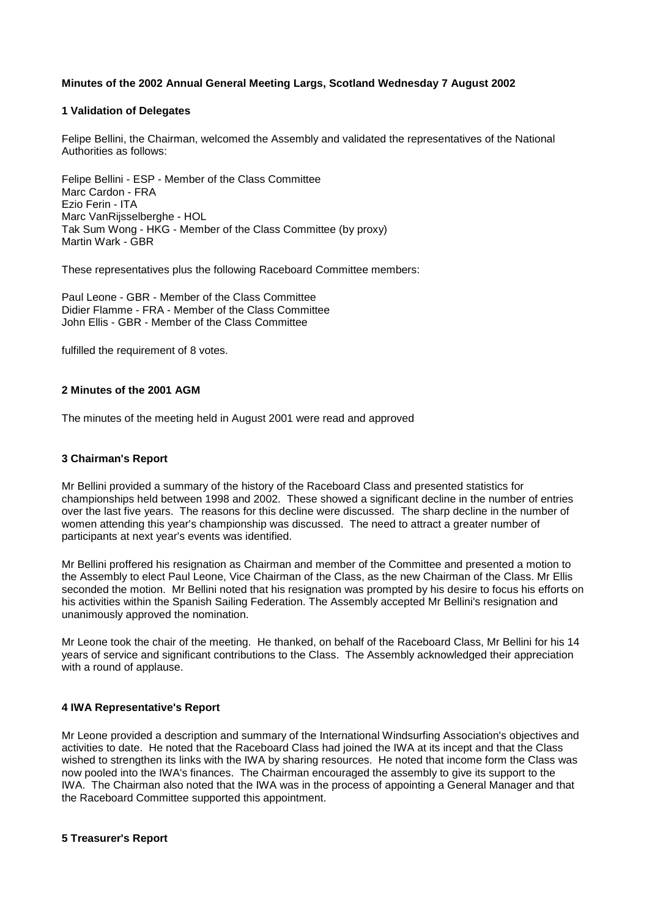# **Minutes of the 2002 Annual General Meeting Largs, Scotland Wednesday 7 August 2002**

### **1 Validation of Delegates**

Felipe Bellini, the Chairman, welcomed the Assembly and validated the representatives of the National Authorities as follows:

Felipe Bellini - ESP - Member of the Class Committee Marc Cardon - FRA Ezio Ferin - ITA Marc VanRijsselberghe - HOL Tak Sum Wong - HKG - Member of the Class Committee (by proxy) Martin Wark - GBR

These representatives plus the following Raceboard Committee members:

Paul Leone - GBR - Member of the Class Committee Didier Flamme - FRA - Member of the Class Committee John Ellis - GBR - Member of the Class Committee

fulfilled the requirement of 8 votes.

### **2 Minutes of the 2001 AGM**

The minutes of the meeting held in August 2001 were read and approved

### **3 Chairman's Report**

Mr Bellini provided a summary of the history of the Raceboard Class and presented statistics for championships held between 1998 and 2002. These showed a significant decline in the number of entries over the last five years. The reasons for this decline were discussed. The sharp decline in the number of women attending this year's championship was discussed. The need to attract a greater number of participants at next year's events was identified.

Mr Bellini proffered his resignation as Chairman and member of the Committee and presented a motion to the Assembly to elect Paul Leone, Vice Chairman of the Class, as the new Chairman of the Class. Mr Ellis seconded the motion. Mr Bellini noted that his resignation was prompted by his desire to focus his efforts on his activities within the Spanish Sailing Federation. The Assembly accepted Mr Bellini's resignation and unanimously approved the nomination.

Mr Leone took the chair of the meeting. He thanked, on behalf of the Raceboard Class, Mr Bellini for his 14 years of service and significant contributions to the Class. The Assembly acknowledged their appreciation with a round of applause.

### **4 IWA Representative's Report**

Mr Leone provided a description and summary of the International Windsurfing Association's objectives and activities to date. He noted that the Raceboard Class had joined the IWA at its incept and that the Class wished to strengthen its links with the IWA by sharing resources. He noted that income form the Class was now pooled into the IWA's finances. The Chairman encouraged the assembly to give its support to the IWA. The Chairman also noted that the IWA was in the process of appointing a General Manager and that the Raceboard Committee supported this appointment.

### **5 Treasurer's Report**